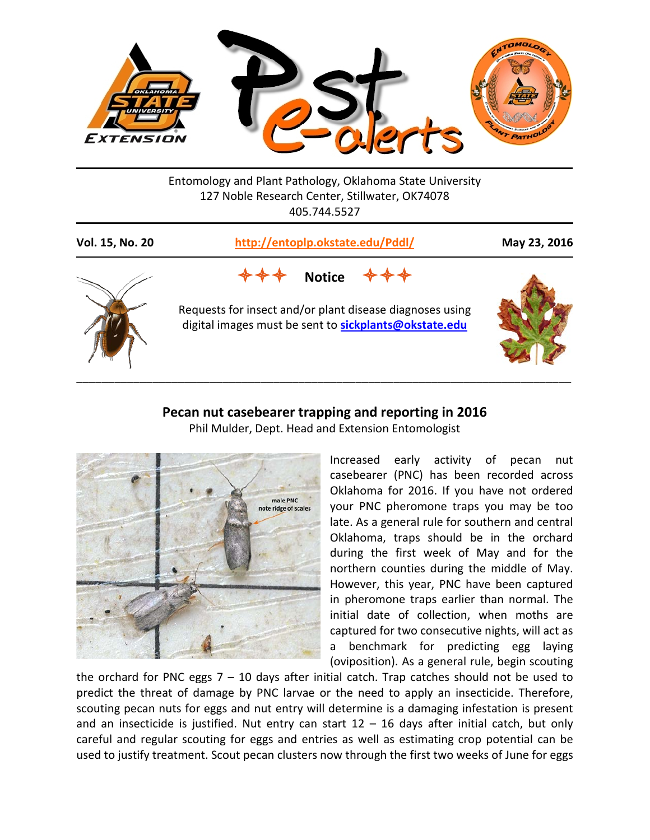

Entomology and Plant Pathology, Oklahoma State University 127 Noble Research Center, Stillwater, OK74078 405.744.5527

| Vol. 15, No. 20 | http://entoplp.okstate.edu/Pddl/                                                                                                   | May 23, 2016 |
|-----------------|------------------------------------------------------------------------------------------------------------------------------------|--------------|
|                 | <b>Notice</b><br>Requests for insect and/or plant disease diagnoses using<br>digital images must be sent to sickplants@okstate.edu |              |

## **Pecan nut casebearer trapping and reporting in 2016**

Phil Mulder, Dept. Head and Extension Entomologist



Increased early activity of pecan nut casebearer (PNC) has been recorded across Oklahoma for 2016. If you have not ordered your PNC pheromone traps you may be too late. As a general rule for southern and central Oklahoma, traps should be in the orchard during the first week of May and for the northern counties during the middle of May. However, this year, PNC have been captured in pheromone traps earlier than normal. The initial date of collection, when moths are captured for two consecutive nights, will act as a benchmark for predicting egg laying (oviposition). As a general rule, begin scouting

the orchard for PNC eggs  $7 - 10$  days after initial catch. Trap catches should not be used to predict the threat of damage by PNC larvae or the need to apply an insecticide. Therefore, scouting pecan nuts for eggs and nut entry will determine is a damaging infestation is present and an insecticide is justified. Nut entry can start  $12 - 16$  days after initial catch, but only careful and regular scouting for eggs and entries as well as estimating crop potential can be used to justify treatment. Scout pecan clusters now through the first two weeks of June for eggs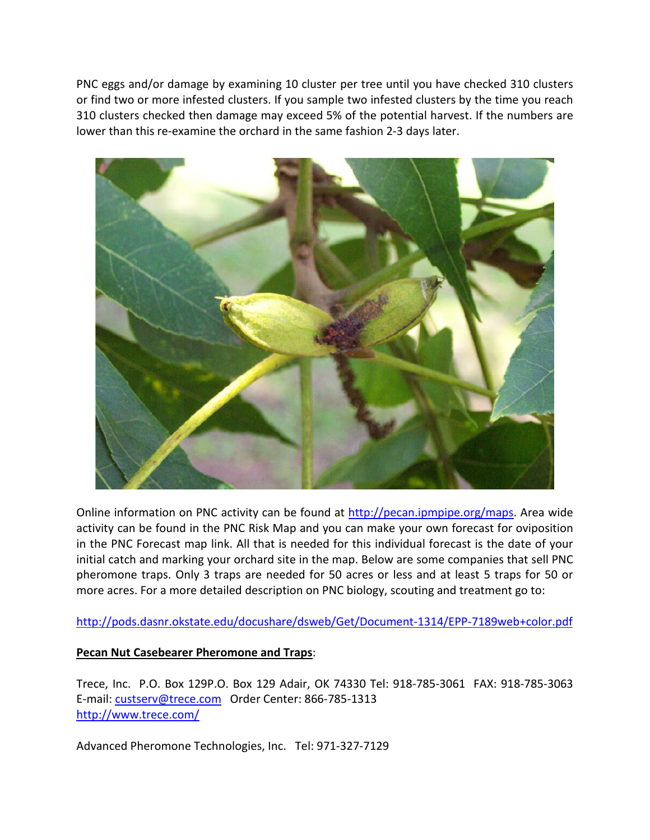PNC eggs and/or damage by examining 10 cluster per tree until you have checked 310 clusters or find two or more infested clusters. If you sample two infested clusters by the time you reach 310 clusters checked then damage may exceed 5% of the potential harvest. If the numbers are lower than this re-examine the orchard in the same fashion 2-3 days later.



Online information on PNC activity can be found at [http://pecan.ipmpipe.org/maps.](http://pecan.ipmpipe.org/maps) Area wide activity can be found in the PNC Risk Map and you can make your own forecast for oviposition in the PNC Forecast map link. All that is needed for this individual forecast is the date of your initial catch and marking your orchard site in the map. Below are some companies that sell PNC pheromone traps. Only 3 traps are needed for 50 acres or less and at least 5 traps for 50 or more acres. For a more detailed description on PNC biology, scouting and treatment go to:

<http://pods.dasnr.okstate.edu/docushare/dsweb/Get/Document-1314/EPP-7189web+color.pdf>

## **Pecan Nut Casebearer Pheromone and Traps**:

Trece, Inc. P.O. Box 129P.O. Box 129 Adair, OK 74330 Tel: 918-785-3061 FAX: 918-785-3063 E-mail: [custserv@trece.com](mailto:custserv@trece.com) Order Center: 866-785-1313 <http://www.trece.com/>

Advanced Pheromone Technologies, Inc. Tel: 971-327-7129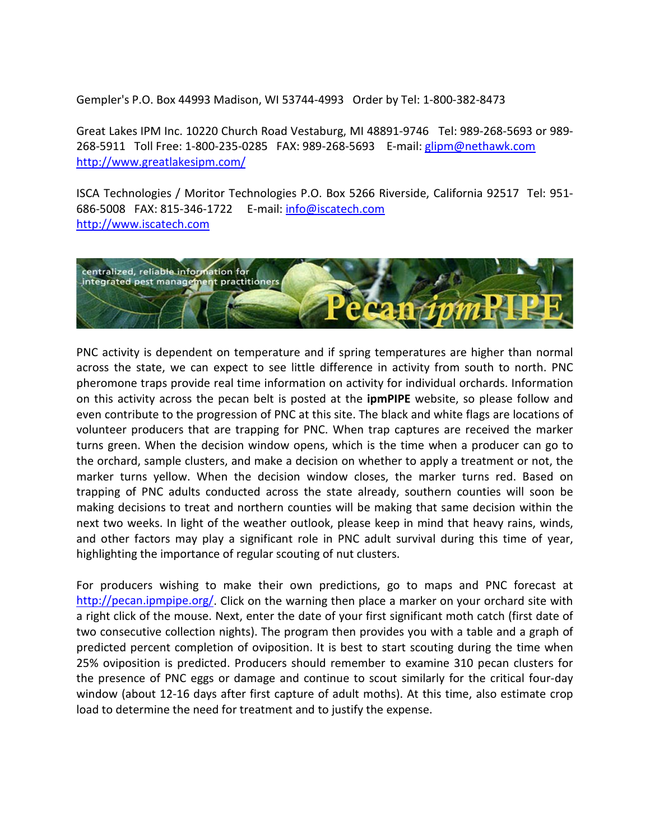Gempler's P.O. Box 44993 Madison, WI 53744-4993 Order by Tel: 1-800-382-8473

Great Lakes IPM Inc. 10220 Church Road Vestaburg, MI 48891-9746 Tel: 989-268-5693 or 989- 268-5911 Toll Free: 1-800-235-0285 FAX: 989-268-5693 E-mail: [glipm@nethawk.com](mailto:glipm@nethawk.com) <http://www.greatlakesipm.com/>

ISCA Technologies / Moritor Technologies P.O. Box 5266 Riverside, California 92517 Tel: 951- 686-5008 FAX: 815-346-1722 E-mail: [info@iscatech.com](mailto:info@iscatech.com)  [http://www.iscatech.com](http://www.iscatech.com/)



PNC activity is dependent on temperature and if spring temperatures are higher than normal across the state, we can expect to see little difference in activity from south to north. PNC pheromone traps provide real time information on activity for individual orchards. Information on this activity across the pecan belt is posted at the **ipmPIPE** website, so please follow and even contribute to the progression of PNC at this site. The black and white flags are locations of volunteer producers that are trapping for PNC. When trap captures are received the marker turns green. When the decision window opens, which is the time when a producer can go to the orchard, sample clusters, and make a decision on whether to apply a treatment or not, the marker turns yellow. When the decision window closes, the marker turns red. Based on trapping of PNC adults conducted across the state already, southern counties will soon be making decisions to treat and northern counties will be making that same decision within the next two weeks. In light of the weather outlook, please keep in mind that heavy rains, winds, and other factors may play a significant role in PNC adult survival during this time of year, highlighting the importance of regular scouting of nut clusters.

For producers wishing to make their own predictions, go to maps and PNC forecast at [http://pecan.ipmpipe.org/.](http://pecan.ipmpipe.org/) Click on the warning then place a marker on your orchard site with a right click of the mouse. Next, enter the date of your first significant moth catch (first date of two consecutive collection nights). The program then provides you with a table and a graph of predicted percent completion of oviposition. It is best to start scouting during the time when 25% oviposition is predicted. Producers should remember to examine 310 pecan clusters for the presence of PNC eggs or damage and continue to scout similarly for the critical four-day window (about 12-16 days after first capture of adult moths). At this time, also estimate crop load to determine the need for treatment and to justify the expense.